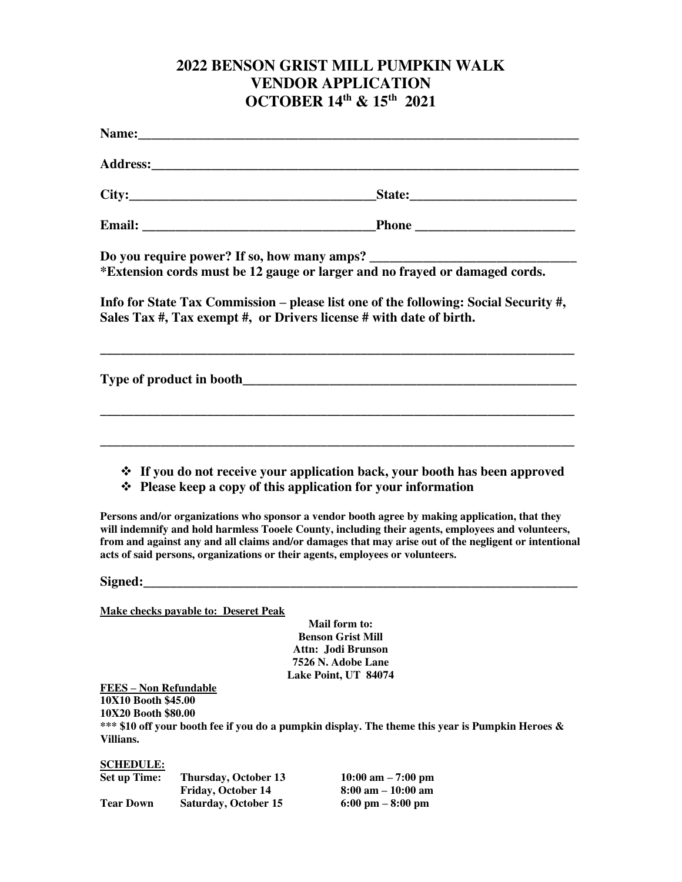## **2022 BENSON GRIST MILL PUMPKIN WALK VENDOR APPLICATION OCTOBER 14th & 15th 2021**

| Name: <u>Name:</u> 2008. 2008. 2010. 2010. 2010. 2010. 2010. 2010. 2010. 2010. 2010. 2010. 2010. 2010. 2010. 2010. 2010. 2010. 2010. 2010. 2010. 2010. 2010. 2010. 2010. 2010. 2010. 2010. 2010. 2010. 2010. 2010. 2010. 2010. 2010 |                                                                           |                                                                                                                                                                                                                                                                                                                                                                                                                                                                                                                                               |
|-------------------------------------------------------------------------------------------------------------------------------------------------------------------------------------------------------------------------------------|---------------------------------------------------------------------------|-----------------------------------------------------------------------------------------------------------------------------------------------------------------------------------------------------------------------------------------------------------------------------------------------------------------------------------------------------------------------------------------------------------------------------------------------------------------------------------------------------------------------------------------------|
|                                                                                                                                                                                                                                     |                                                                           |                                                                                                                                                                                                                                                                                                                                                                                                                                                                                                                                               |
|                                                                                                                                                                                                                                     |                                                                           |                                                                                                                                                                                                                                                                                                                                                                                                                                                                                                                                               |
|                                                                                                                                                                                                                                     |                                                                           |                                                                                                                                                                                                                                                                                                                                                                                                                                                                                                                                               |
|                                                                                                                                                                                                                                     |                                                                           | *Extension cords must be 12 gauge or larger and no frayed or damaged cords.                                                                                                                                                                                                                                                                                                                                                                                                                                                                   |
|                                                                                                                                                                                                                                     |                                                                           | Info for State Tax Commission – please list one of the following: Social Security #,<br>Sales Tax #, Tax exempt #, or Drivers license # with date of birth.                                                                                                                                                                                                                                                                                                                                                                                   |
|                                                                                                                                                                                                                                     |                                                                           |                                                                                                                                                                                                                                                                                                                                                                                                                                                                                                                                               |
|                                                                                                                                                                                                                                     |                                                                           | ❖ If you do not receive your application back, your booth has been approved<br>❖ Please keep a copy of this application for your information<br>Persons and/or organizations who sponsor a vendor booth agree by making application, that they<br>will indemnify and hold harmless Tooele County, including their agents, employees and volunteers,<br>from and against any and all claims and/or damages that may arise out of the negligent or intentional<br>acts of said persons, organizations or their agents, employees or volunteers. |
|                                                                                                                                                                                                                                     |                                                                           |                                                                                                                                                                                                                                                                                                                                                                                                                                                                                                                                               |
| <b>FEES - Non Refundable</b><br>10X10 Booth \$45.00<br>10X20 Booth \$80.00                                                                                                                                                          | Make checks payable to: Deseret Peak                                      | Mail form to:<br><b>Benson Grist Mill</b><br>Attn: Jodi Brunson<br>7526 N. Adobe Lane<br>Lake Point, UT 84074<br>*** \$10 off your booth fee if you do a pumpkin display. The theme this year is Pumpkin Heroes &                                                                                                                                                                                                                                                                                                                             |
| Villians.                                                                                                                                                                                                                           |                                                                           |                                                                                                                                                                                                                                                                                                                                                                                                                                                                                                                                               |
| <b>SCHEDULE:</b><br><b>Set up Time:</b><br><b>Tear Down</b>                                                                                                                                                                         | Thursday, October 13<br>Friday, October 14<br><b>Saturday, October 15</b> | $10:00$ am $-7:00$ pm<br>$8:00$ am $-10:00$ am<br>$6:00 \text{ pm} - 8:00 \text{ pm}$                                                                                                                                                                                                                                                                                                                                                                                                                                                         |